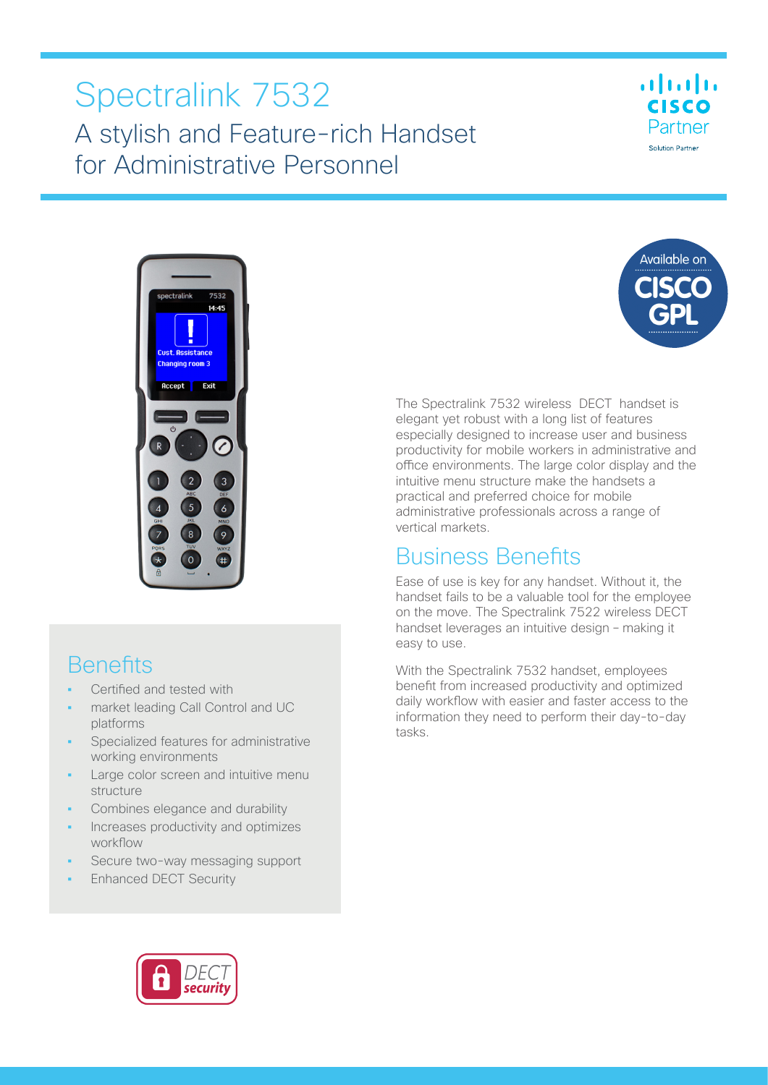# Spectralink 7532 A stylish and Feature-rich Handset for Administrative Personnel





### **Benefits**

- **•** Certified and tested with
- **•** market leading Call Control and UC platforms
- **•** Specialized features for administrative working environments
- **•** Large color screen and intuitive menu structure
- **•** Combines elegance and durability
- **•** Increases productivity and optimizes workflow
- **•** Secure two-way messaging support
- **•** Enhanced DECT Security



The Spectralink 7532 wireless DECT handset is elegant yet robust with a long list of features especially designed to increase user and business productivity for mobile workers in administrative and office environments. The large color display and the intuitive menu structure make the handsets a practical and preferred choice for mobile administrative professionals across a range of vertical markets.

### Business Benefits

Ease of use is key for any handset. Without it, the handset fails to be a valuable tool for the employee on the move. The Spectralink 7522 wireless DECT handset leverages an intuitive design – making it easy to use.

With the Spectralink 7532 handset, employees benefit from increased productivity and optimized daily workflow with easier and faster access to the information they need to perform their day-to-day tasks.